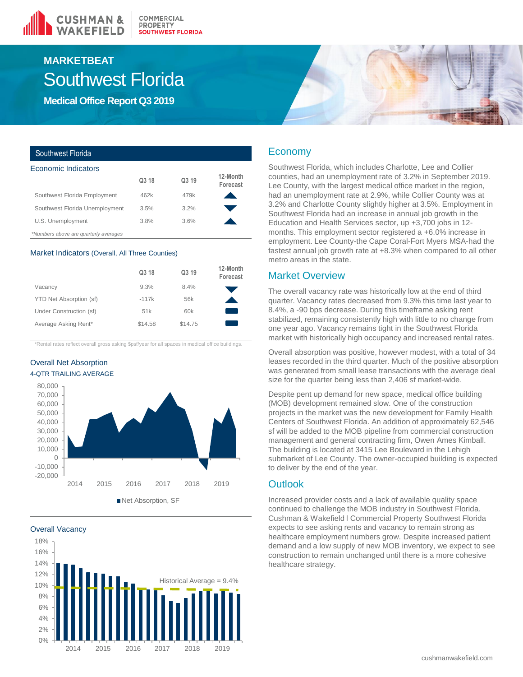

## Southwest Florida **MARKETBEAT**

**Medical Office Report Q3 2019**

| Southwest Florida                     |       |       |                      |
|---------------------------------------|-------|-------|----------------------|
| Economic Indicators                   |       |       |                      |
|                                       | Q3 18 | Q3 19 | 12-Month<br>Forecast |
| Southwest Florida Employment          | 462k  | 479k  |                      |
| Southwest Florida Unemployment        | 3.5%  | 3.2%  |                      |
| U.S. Unemployment                     | 3.8%  | 3.6%  |                      |
| *Numbers above are quarterly averages |       |       |                      |

#### Market Indicators (Overall, All Three Counties)

|                         | Q3 18   | Q3 19   | 12-Month<br>Forecast |
|-------------------------|---------|---------|----------------------|
| Vacancy                 | 9.3%    | 8.4%    |                      |
| YTD Net Absorption (sf) | $-117k$ | 56k     |                      |
| Under Construction (sf) | 51k     | 60k     |                      |
| Average Asking Rent*    | \$14.58 | \$14.75 |                      |

\*Rental rates reflect overall gross asking \$psf/year for all spaces in medical office buildings.

Overall Net Absorption 4-QTR TRAILING AVERAGE



Overall Vacancy



## Economy

Southwest Florida, which includes Charlotte, Lee and Collier counties, had an unemployment rate of 3.2% in September 2019. Lee County, with the largest medical office market in the region, had an unemployment rate at 2.9%, while Collier County was at 3.2% and Charlotte County slightly higher at 3.5%. Employment in Southwest Florida had an increase in annual job growth in the Education and Health Services sector, up +3,700 jobs in 12 months. This employment sector registered a +6.0% increase in employment. Lee County-the Cape Coral-Fort Myers MSA-had the fastest annual job growth rate at +8.3% when compared to all other metro areas in the state.

### Market Overview

The overall vacancy rate was historically low at the end of third quarter. Vacancy rates decreased from 9.3% this time last year to 8.4%, a -90 bps decrease. During this timeframe asking rent stabilized, remaining consistently high with little to no change from one year ago. Vacancy remains tight in the Southwest Florida market with historically high occupancy and increased rental rates.

Overall absorption was positive, however modest, with a total of 34 leases recorded in the third quarter. Much of the positive absorption was generated from small lease transactions with the average deal size for the quarter being less than 2,406 sf market-wide.

Despite pent up demand for new space, medical office building (MOB) development remained slow. One of the construction projects in the market was the new development for Family Health Centers of Southwest Florida. An addition of approximately 62,546 sf will be added to the MOB pipeline from commercial construction management and general contracting firm, Owen Ames Kimball. The building is located at 3415 Lee Boulevard in the Lehigh submarket of Lee County. The owner-occupied building is expected to deliver by the end of the year.

### **Outlook**

Increased provider costs and a lack of available quality space continued to challenge the MOB industry in Southwest Florida. Cushman & Wakefield l Commercial Property Southwest Florida expects to see asking rents and vacancy to remain strong as healthcare employment numbers grow. Despite increased patient demand and a low supply of new MOB inventory, we expect to see construction to remain unchanged until there is a more cohesive healthcare strategy.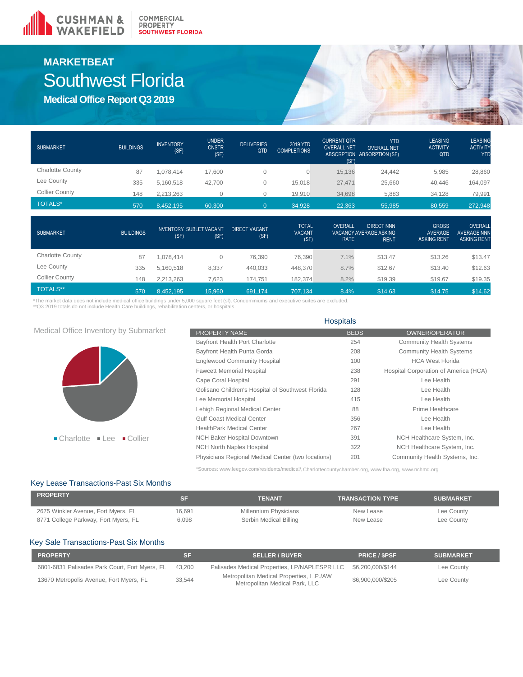

## **MARKETBEAT** Southwest Florida

**Medical Office Report Q3 2019**

| <b>SUBMARKET</b>        | <b>BUILDINGS</b> | <b>INVENTORY</b><br>(SF) | <b>UNDER</b><br><b>CNSTR</b><br>(SF) | <b>DELIVERIES</b><br>QTD | 2019 YTD<br><b>COMPLETIONS</b> | <b>CURRENT QTR</b><br><b>OVERALL NET</b><br>(SF) | <b>YTD</b><br><b>OVERALL NET</b><br>ABSORPTION ABSORPTION (SF) | <b>LEASING</b><br><b>ACTIVITY</b><br><b>QTD</b> | <b>LEASING</b><br><b>ACTIVITY</b><br><b>YTD</b> |
|-------------------------|------------------|--------------------------|--------------------------------------|--------------------------|--------------------------------|--------------------------------------------------|----------------------------------------------------------------|-------------------------------------------------|-------------------------------------------------|
| <b>Charlotte County</b> | 87               | .078.414                 | 17.600                               |                          |                                | 15,136                                           | 24.442                                                         | 5,985                                           | 28,860                                          |
| Lee County              | 335              | 5,160,518                | 42,700                               |                          | 15,018                         | $-27,471$                                        | 25,660                                                         | 40.446                                          | 164,097                                         |
| <b>Collier County</b>   | 148              | 2,213,263                |                                      |                          | 19,910                         | 34,698                                           | 5,883                                                          | 34,128                                          | 79,991                                          |
| <b>TOTALS*</b>          | 570              | 8.452.195                | 60.300                               |                          | 34,928                         | 22.363                                           | 55,985                                                         | 80.559                                          | 272,948                                         |

| <b>SUBMARKET</b>        | <b>BUILDINGS</b> | <b>INVENTORY SUBLET VACANT</b><br>(SF) | (SF)   | <b>DIRECT VACANT.</b><br>(SF) | <b>TOTAL</b><br><b>VACANT</b><br>(SF) | <b>OVERALL</b><br><b>RATE</b> | <b>DIRECT NNN</b><br>VACANCY AVERAGE ASKING<br><b>RENT</b> | <b>GROSS</b><br>AVERAGE<br><b>ASKING RENT</b> | OVERALL<br><b>AVERAGE NNN</b><br><b>ASKING RENT</b> |
|-------------------------|------------------|----------------------------------------|--------|-------------------------------|---------------------------------------|-------------------------------|------------------------------------------------------------|-----------------------------------------------|-----------------------------------------------------|
| <b>Charlotte County</b> | 87               | .078.414                               | 0      | 76,390                        | 76,390                                | 7.1%                          | \$13.47                                                    | \$13.26                                       | \$13.47                                             |
| Lee County              | 335              | 5.160.518                              | 8,337  | 440,033                       | 448,370                               | 8.7%                          | \$12.67                                                    | \$13.40                                       | \$12.63                                             |
| <b>Collier County</b>   | 148              | 2.213.263                              | 7,623  | 174.751                       | 182,374                               | 8.2%                          | \$19.39                                                    | \$19.67                                       | \$19.35                                             |
| <b>TOTALS**</b>         | 570              | 8.452.195                              | 15,960 | 691.174                       | 707.134                               | 8.4%                          | \$14.63                                                    | \$14.75                                       | \$14.62                                             |

\*The market data does not include medical office buildings under 5,000 square feet (sf). Condominiums and executive suites are excluded.<br>\*\*Q3 2019 totals do not include Health Care buildings, rehabilitation centers, or hos

|                                                                          | <b>Hospitals</b>                                   |             |                                       |  |  |  |
|--------------------------------------------------------------------------|----------------------------------------------------|-------------|---------------------------------------|--|--|--|
| Medical Office Inventory by Submarket                                    | PROPERTY NAME                                      | <b>BEDS</b> | <b>OWNER/OPERATOR</b>                 |  |  |  |
|                                                                          | Bayfront Health Port Charlotte                     | 254         | <b>Community Health Systems</b>       |  |  |  |
|                                                                          | Bayfront Health Punta Gorda                        | 208         | <b>Community Health Systems</b>       |  |  |  |
|                                                                          | <b>Englewood Community Hospital</b>                | 100         | <b>HCA West Florida</b>               |  |  |  |
|                                                                          | <b>Fawcett Memorial Hospital</b>                   | 238         | Hospital Corporation of America (HCA) |  |  |  |
|                                                                          | Cape Coral Hospital                                | 291         | Lee Health                            |  |  |  |
|                                                                          | Golisano Children's Hospital of Southwest Florida  | 128         | Lee Health                            |  |  |  |
|                                                                          | Lee Memorial Hospital                              | 415         | Lee Health                            |  |  |  |
|                                                                          | Lehigh Regional Medical Center                     | 88          | Prime Healthcare                      |  |  |  |
|                                                                          | <b>Gulf Coast Medical Center</b>                   | 356         | Lee Health                            |  |  |  |
|                                                                          | <b>HealthPark Medical Center</b>                   | 267         | Lee Health                            |  |  |  |
| $\blacksquare$ Charlotte<br>$\blacksquare$ Collier<br>$\blacksquare$ lee | <b>NCH Baker Hospital Downtown</b>                 | 391         | NCH Healthcare System, Inc.           |  |  |  |
|                                                                          | <b>NCH North Naples Hospital</b>                   | 322         | NCH Healthcare System, Inc.           |  |  |  |
|                                                                          | Physicians Regional Medical Center (two locations) | 201         | Community Health Systems, Inc.        |  |  |  |

\*Sources: www.leegov.com/residents/medical/,Charlottecountychamber.org, www.fha.org, www.nchmd.org

### Key Lease Transactions-Past Six Months

| <b>PROPERTY</b>                      | SF     | TENANT                 | <b>TRANSACTION TYPE</b> | <b>SUBMARKET</b> |
|--------------------------------------|--------|------------------------|-------------------------|------------------|
| 2675 Winkler Avenue, Fort Myers, FL  | 16.691 | Millennium Physicians  | New Lease               | Lee County       |
| 8771 College Parkway, Fort Myers, FL | 6.098  | Serbin Medical Billing | New Lease               | Lee County       |

### Key Sale Transactions-Past Six Months

| <b>PROPERTY</b>                                |        | <b>SELLER / BUYER</b>                                                      | <b>PRICE / SPSF</b> | <b>SUBMARKET</b> |
|------------------------------------------------|--------|----------------------------------------------------------------------------|---------------------|------------------|
| 6801-6831 Palisades Park Court, Fort Myers, FL | 43.200 | Palisades Medical Properties, LP/NAPLESPR LLC \$6,200,000/\$144            |                     | Lee County       |
| 13670 Metropolis Avenue, Fort Myers, FL        | 33.544 | Metropolitan Medical Properties, L.P./AW<br>Metropolitan Medical Park, LLC | \$6.900.000/\$205   | Lee County       |